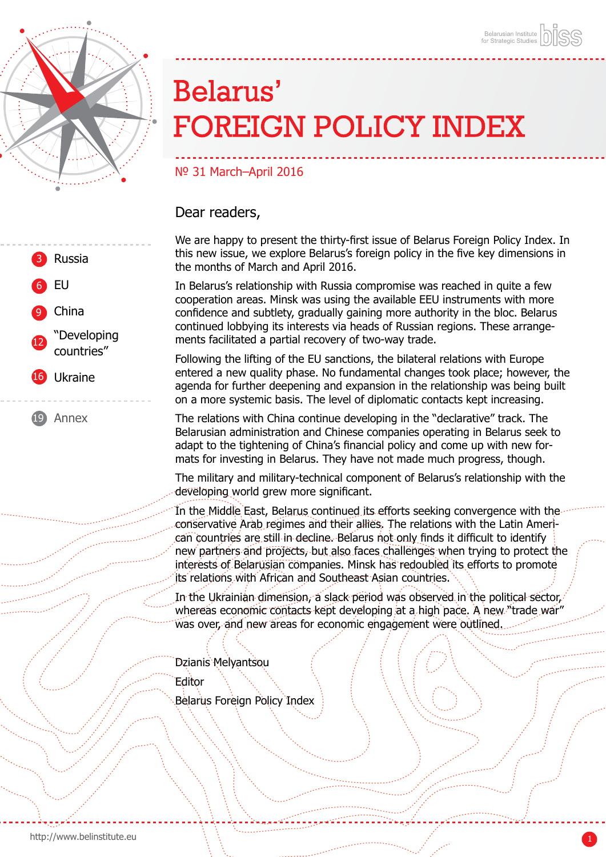

# Belarus' **FOREIGN POLICY INDEX**

## № 31 March–April 2016

### Dear readers,

We are happy to present the thirty-first issue of Belarus Foreign Policy Index. In this new issue, we explore Belarus's foreign policy in the five key dimensions in the months of March and April 2016.

In Belarus's relationship with Russia compromise was reached in quite a few cooperation areas. Minsk was using the available EEU instruments with more confidence and subtlety, gradually gaining more authority in the bloc. Belarus continued lobbying its interests via heads of Russian regions. These arrangements facilitated a partial recovery of two-way trade.

Following the lifting of the EU sanctions, the bilateral relations with Europe entered a new quality phase. No fundamental changes took place; however, the agenda for further deepening and expansion in the relationship was being built on a more systemic basis. The level of diplomatic contacts kept increasing.

The relations with China continue developing in the "declarative" track. The Belarusian administration and Chinese companies operating in Belarus seek to adapt to the tightening of China's financial policy and come up with new formats for investing in Belarus. They have not made much progress, though.

The military and military-technical component of Belarus's relationship with the developing world grew more significant.

In the Middle East, Belarus continued its efforts seeking convergence with the conservative Arab regimes and their allies. The relations with the Latin American countries are still in decline. Belarus not only finds it difficult to identify new partners and projects, but also faces challenges when trying to protect the interests of Belarusian companies. Minsk has redoubled its efforts to promote its relations with African and Southeast Asian countries.

In the Ukrainian dimension, a slack period was observed in the political sector, whereas economic contacts kept developing at a high pace. A new "trade war was over, and new areas for economic engagement were outlined.

Dzianis Melvantsou

Editor

Belarus Foreign Policy Index



[Annex](#page-18-0) 19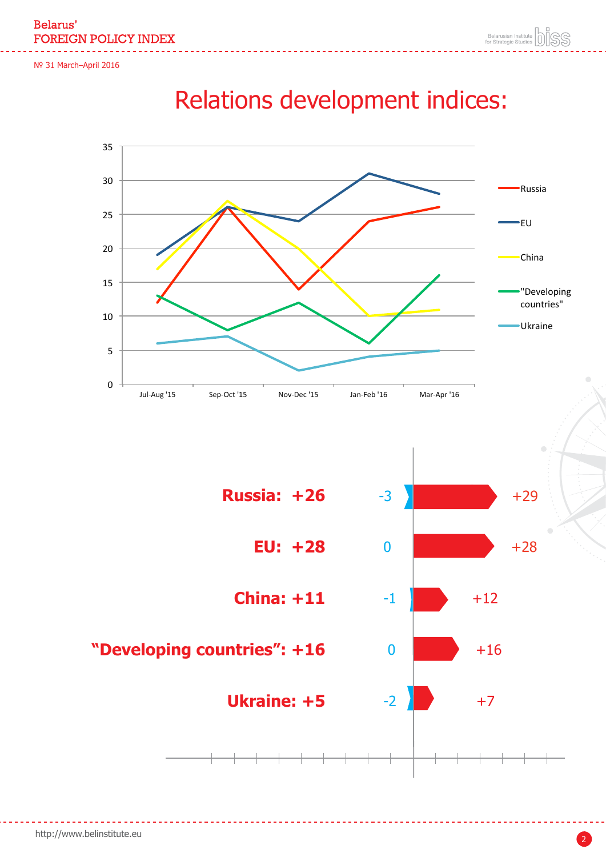Belarus' **FOREIGN POLICY INDEX** 

№ 31 March–April 2016



## Relations development indices:

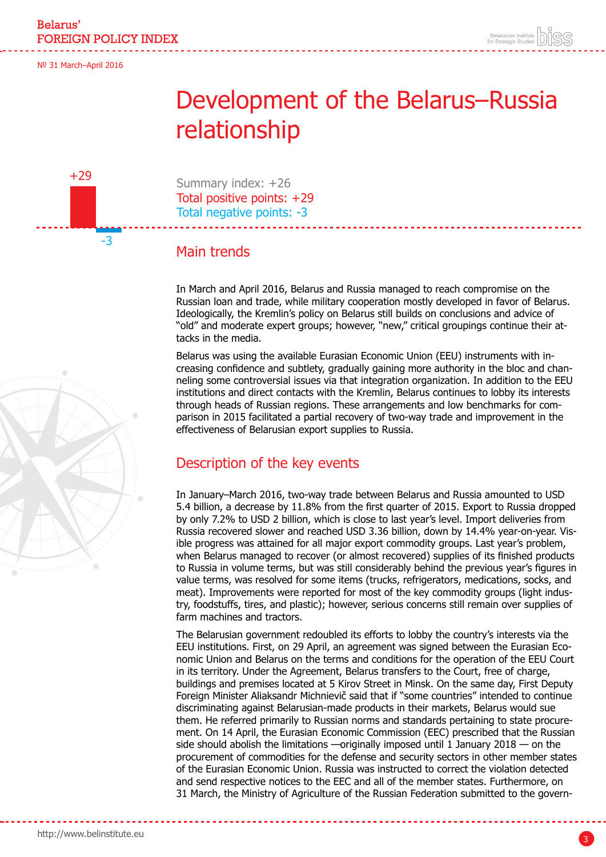<span id="page-2-0"></span>+29

-3

## Development of the Belarus–Russia relationship

Summary index: +26 Total positive points: +29 Total negative points: -3

## Main trends

In March and April 2016, Belarus and Russia managed to reach compromise on the Russian loan and trade, while military cooperation mostly developed in favor of Belarus. Ideologically, the Kremlin's policy on Belarus still builds on conclusions and advice of "old" and moderate expert groups; however, "new," critical groupings continue their attacks in the media.

Belarus was using the available Eurasian Economic Union (EEU) instruments with increasing confidence and subtlety, gradually gaining more authority in the bloc and channeling some controversial issues via that integration organization. In addition to the EEU institutions and direct contacts with the Kremlin, Belarus continues to lobby its interests through heads of Russian regions. These arrangements and low benchmarks for comparison in 2015 facilitated a partial recovery of two-way trade and improvement in the effectiveness of Belarusian export supplies to Russia.

## Description of the key events

In January–March 2016, two-way trade between Belarus and Russia amounted to USD 5.4 billion, a decrease by 11.8% from the first quarter of 2015. Export to Russia dropped by only 7.2% to USD 2 billion, which is close to last year's level. Import deliveries from Russia recovered slower and reached USD 3.36 billion, down by 14.4% year-on-year. Visible progress was attained for all major export commodity groups. Last year's problem, when Belarus managed to recover (or almost recovered) supplies of its finished products to Russia in volume terms, but was still considerably behind the previous year's figures in value terms, was resolved for some items (trucks, refrigerators, medications, socks, and meat). Improvements were reported for most of the key commodity groups (light industry, foodstuffs, tires, and plastic); however, serious concerns still remain over supplies of farm machines and tractors.

The Belarusian government redoubled its efforts to lobby the country's interests via the EEU institutions. First, on 29 April, an agreement was signed between the Eurasian Economic Union and Belarus on the terms and conditions for the operation of the EEU Court in its territory. Under the Agreement, Belarus transfers to the Court, free of charge, buildings and premises located at 5 Kirov Street in Minsk. On the same day, First Deputy Foreign Minister Aliaksandr Michnievič said that if "some countries" intended to continue discriminating against Belarusian-made products in their markets, Belarus would sue them. He referred primarily to Russian norms and standards pertaining to state procurement. On 14 April, the Eurasian Economic Commission (EEC) prescribed that the Russian side should abolish the limitations —originally imposed until 1 January 2018 — on the procurement of commodities for the defense and security sectors in other member states of the Eurasian Economic Union. Russia was instructed to correct the violation detected and send respective notices to the EEC and all of the member states. Furthermore, on 31 March, the Ministry of Agriculture of the Russian Federation submitted to the govern-

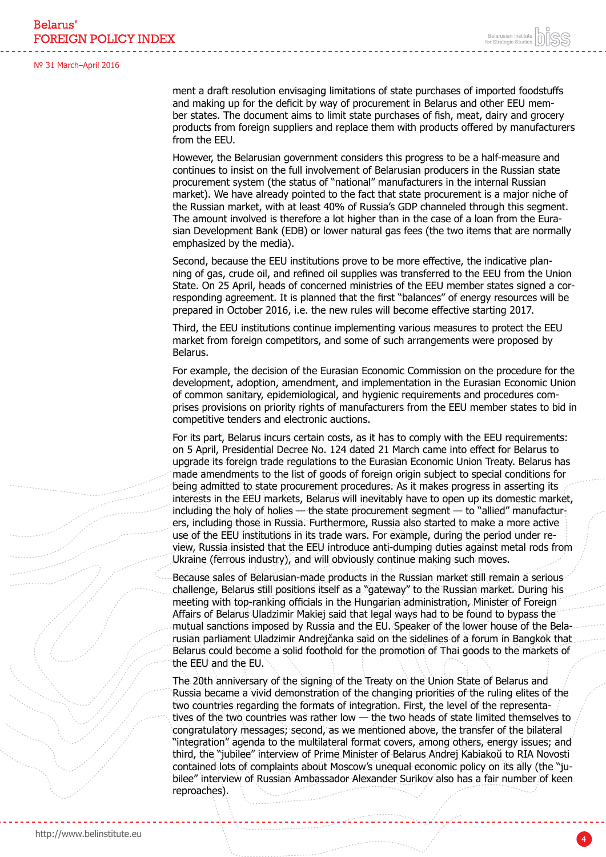from the EEU.

№ 31 March–April 2016

ment a draft resolution envisaging limitations of state purchases of imported foodstuffs and making up for the deficit by way of procurement in Belarus and other EEU member states. The document aims to limit state purchases of fish, meat, dairy and grocery

However, the Belarusian government considers this progress to be a half-measure and continues to insist on the full involvement of Belarusian producers in the Russian state procurement system (the status of "national" manufacturers in the internal Russian market). We have already pointed to the fact that state procurement is a major niche of the Russian market, with at least 40% of Russia's GDP channeled through this segment. The amount involved is therefore a lot higher than in the case of a loan from the Eurasian Development Bank (EDB) or lower natural gas fees (the two items that are normally emphasized by the media).

products from foreign suppliers and replace them with products offered by manufacturers

Second, because the EEU institutions prove to be more effective, the indicative planning of gas, crude oil, and refined oil supplies was transferred to the EEU from the Union State. On 25 April, heads of concerned ministries of the EEU member states signed a corresponding agreement. It is planned that the first "balances" of energy resources will be prepared in October 2016, i.e. the new rules will become effective starting 2017.

Third, the EEU institutions continue implementing various measures to protect the EEU market from foreign competitors, and some of such arrangements were proposed by Belarus.

For example, the decision of the Eurasian Economic Commission on the procedure for the development, adoption, amendment, and implementation in the Eurasian Economic Union of common sanitary, epidemiological, and hygienic requirements and procedures comprises provisions on priority rights of manufacturers from the EEU member states to bid in competitive tenders and electronic auctions.

For its part, Belarus incurs certain costs, as it has to comply with the EEU requirements: on 5 April, Presidential Decree No. 124 dated 21 March came into effect for Belarus to upgrade its foreign trade regulations to the Eurasian Economic Union Treaty. Belarus has made amendments to the list of goods of foreign origin subject to special conditions for being admitted to state procurement procedures. As it makes progress in asserting its interests in the EEU markets, Belarus will inevitably have to open up its domestic market, including the holy of holies — the state procurement segment — to "allied" manufacturers, including those in Russia. Furthermore, Russia also started to make a more active use of the EEU institutions in its trade wars. For example, during the period under review, Russia insisted that the EEU introduce anti-dumping duties against metal rods from Ukraine (ferrous industry), and will obviously continue making such moves.

Because sales of Belarusian-made products in the Russian market still remain a serious challenge, Belarus still positions itself as a "gateway" to the Russian market. During his meeting with top-ranking officials in the Hungarian administration, Minister of Foreign Affairs of Belarus Uladzimir Makiej said that legal ways had to be found to bypass the mutual sanctions imposed by Russia and the EU. Speaker of the lower house of the Belarusian parliament Uladzimir Andrejčanka said on the sidelines of a forum in Bangkok that Belarus could become a solid foothold for the promotion of Thai goods to the markets of the EEU and the EU.

The 20th anniversary of the signing of the Treaty on the Union State of Belarus and Russia became a vivid demonstration of the changing priorities of the ruling elites of the two countries regarding the formats of integration. First, the level of the representatives of the two countries was rather low — the two heads of state limited themselves to congratulatory messages; second, as we mentioned above, the transfer of the bilateral "integration" agenda to the multilateral format covers, among others, energy issues; and third, the "jubilee" interview of Prime Minister of Belarus Andrej Kabiakoŭ to RIA Novosti contained lots of complaints about Moscow's unequal economic policy on its ally (the "jubilee" interview of Russian Ambassador Alexander Surikov also has a fair number of keen reproaches).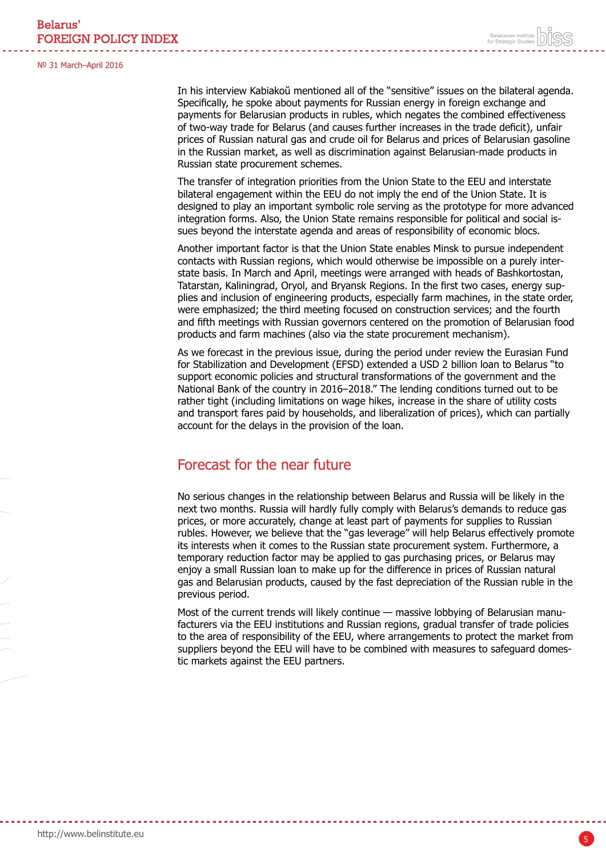In his interview Kabiakoŭ mentioned all of the "sensitive" issues on the bilateral agenda. Specifically, he spoke about payments for Russian energy in foreign exchange and payments for Belarusian products in rubles, which negates the combined effectiveness of two-way trade for Belarus (and causes further increases in the trade deficit), unfair prices of Russian natural gas and crude oil for Belarus and prices of Belarusian gasoline in the Russian market, as well as discrimination against Belarusian-made products in Russian state procurement schemes.

The transfer of integration priorities from the Union State to the EEU and interstate bilateral engagement within the EEU do not imply the end of the Union State. It is designed to play an important symbolic role serving as the prototype for more advanced integration forms. Also, the Union State remains responsible for political and social issues beyond the interstate agenda and areas of responsibility of economic blocs.

Another important factor is that the Union State enables Minsk to pursue independent contacts with Russian regions, which would otherwise be impossible on a purely interstate basis. In March and April, meetings were arranged with heads of Bashkortostan, Tatarstan, Kaliningrad, Oryol, and Bryansk Regions. In the first two cases, energy supplies and inclusion of engineering products, especially farm machines, in the state order, were emphasized; the third meeting focused on construction services; and the fourth and fifth meetings with Russian governors centered on the promotion of Belarusian food products and farm machines (also via the state procurement mechanism).

As we forecast in the previous issue, during the period under review the Eurasian Fund for Stabilization and Development (EFSD) extended a USD 2 billion loan to Belarus "to support economic policies and structural transformations of the government and the National Bank of the country in 2016–2018." The lending conditions turned out to be rather tight (including limitations on wage hikes, increase in the share of utility costs and transport fares paid by households, and liberalization of prices), which can partially account for the delays in the provision of the loan.

### Forecast for the near future

No serious changes in the relationship between Belarus and Russia will be likely in the next two months. Russia will hardly fully comply with Belarus's demands to reduce gas prices, or more accurately, change at least part of payments for supplies to Russian rubles. However, we believe that the "gas leverage" will help Belarus effectively promote its interests when it comes to the Russian state procurement system. Furthermore, a temporary reduction factor may be applied to gas purchasing prices, or Belarus may enjoy a small Russian loan to make up for the difference in prices of Russian natural gas and Belarusian products, caused by the fast depreciation of the Russian ruble in the previous period.

Most of the current trends will likely continue — massive lobbying of Belarusian manufacturers via the EEU institutions and Russian regions, gradual transfer of trade policies to the area of responsibility of the EEU, where arrangements to protect the market from suppliers beyond the EEU will have to be combined with measures to safeguard domestic markets against the EEU partners.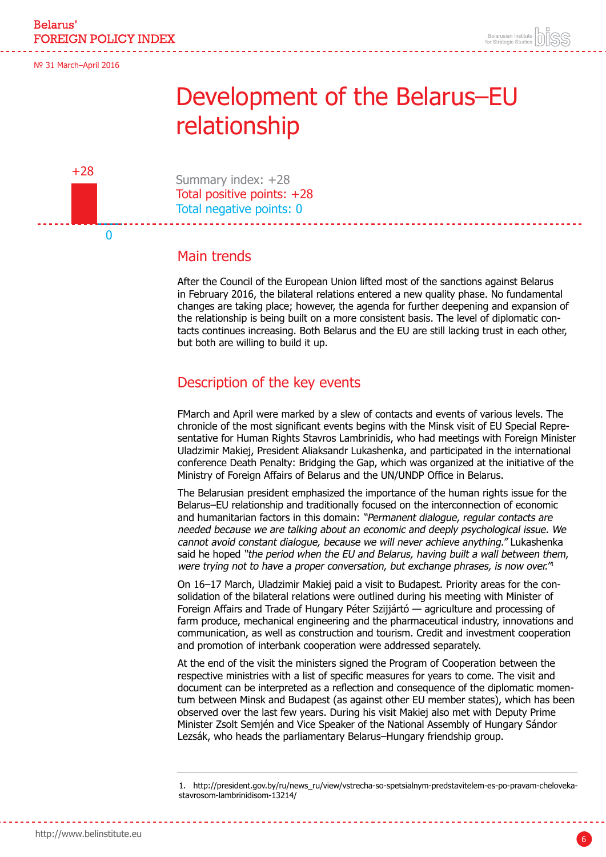<span id="page-5-0"></span>+28

0

## Development of the Belarus–EU relationship

Summary index: +28 Total positive points: +28 Total negative points: 0

### Main trends

After the Council of the European Union lifted most of the sanctions against Belarus in February 2016, the bilateral relations entered a new quality phase. No fundamental changes are taking place; however, the agenda for further deepening and expansion of the relationship is being built on a more consistent basis. The level of diplomatic contacts continues increasing. Both Belarus and the EU are still lacking trust in each other, but both are willing to build it up.

## Description of the key events

FMarch and April were marked by a slew of contacts and events of various levels. The chronicle of the most significant events begins with the Minsk visit of EU Special Representative for Human Rights Stavros Lambrinidis, who had meetings with Foreign Minister Uladzimir Makiej, President Aliaksandr Lukashenka, and participated in the international conference Death Penalty: Bridging the Gap, which was organized at the initiative of the Ministry of Foreign Affairs of Belarus and the UN/UNDP Office in Belarus.

The Belarusian president emphasized the importance of the human rights issue for the Belarus–EU relationship and traditionally focused on the interconnection of economic and humanitarian factors in this domain: "Permanent dialogue, regular contacts are needed because we are talking about an economic and deeply psychological issue. We cannot avoid constant dialogue, because we will never achieve anything." Lukashenka said he hoped "the period when the EU and Belarus, having built a wall between them, were trying not to have a proper conversation, but exchange phrases, is now over.<sup>"1</sup>

On 16–17 March, Uladzimir Makiej paid a visit to Budapest. Priority areas for the consolidation of the bilateral relations were outlined during his meeting with Minister of Foreign Affairs and Trade of Hungary Péter Szijjártó — agriculture and processing of farm produce, mechanical engineering and the pharmaceutical industry, innovations and communication, as well as construction and tourism. Credit and investment cooperation and promotion of interbank cooperation were addressed separately.

At the end of the visit the ministers signed the Program of Cooperation between the respective ministries with a list of specific measures for years to come. The visit and document can be interpreted as a reflection and consequence of the diplomatic momentum between Minsk and Budapest (as against other EU member states), which has been observed over the last few years. During his visit Makiej also met with Deputy Prime Minister Zsolt Semjén and Vice Speaker of the National Assembly of Hungary Sándor Lezsák, who heads the parliamentary Belarus–Hungary friendship group.

<sup>1.</sup> http://president.gov.by/ru/news\_ru/view/vstrecha-so-spetsialnym-predstavitelem-es-po-pravam-chelovekastavrosom-lambrinidisom-13214/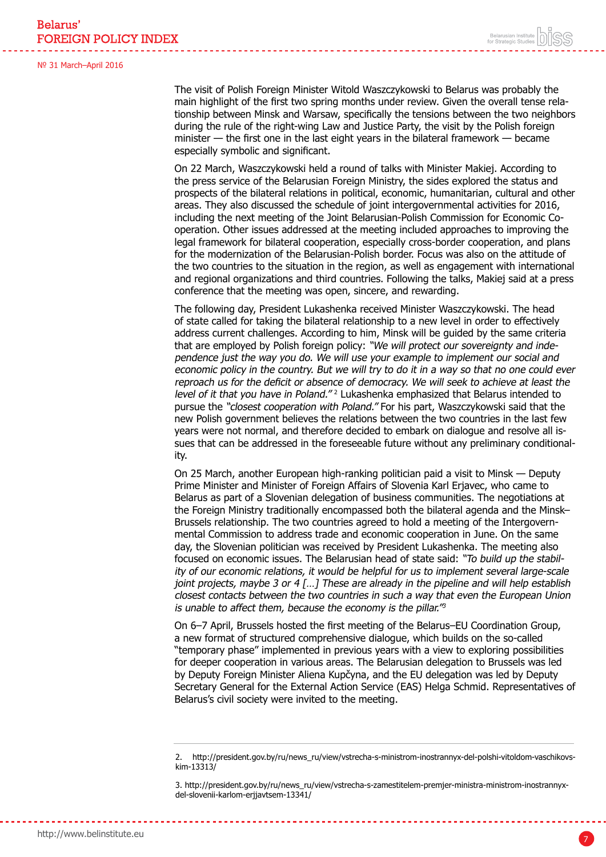The visit of Polish Foreign Minister Witold Waszczykowski to Belarus was probably the main highlight of the first two spring months under review. Given the overall tense relationship between Minsk and Warsaw, specifically the tensions between the two neighbors during the rule of the right-wing Law and Justice Party, the visit by the Polish foreign minister — the first one in the last eight years in the bilateral framework — became especially symbolic and significant.

On 22 March, Waszczykowski held a round of talks with Minister Makiej. According to the press service of the Belarusian Foreign Ministry, the sides explored the status and prospects of the bilateral relations in political, economic, humanitarian, cultural and other areas. They also discussed the schedule of joint intergovernmental activities for 2016, including the next meeting of the Joint Belarusian-Polish Commission for Economic Cooperation. Other issues addressed at the meeting included approaches to improving the legal framework for bilateral cooperation, especially cross-border cooperation, and plans for the modernization of the Belarusian-Polish border. Focus was also on the attitude of the two countries to the situation in the region, as well as engagement with international and regional organizations and third countries. Following the talks, Makiej said at a press conference that the meeting was open, sincere, and rewarding.

The following day, President Lukashenka received Minister Waszczykowski. The head of state called for taking the bilateral relationship to a new level in order to effectively address current challenges. According to him, Minsk will be guided by the same criteria that are employed by Polish foreign policy: "We will protect our sovereignty and independence just the way you do. We will use your example to implement our social and economic policy in the country. But we will try to do it in a way so that no one could ever reproach us for the deficit or absence of democracy. We will seek to achieve at least the level of it that you have in Poland."<sup>2</sup> Lukashenka emphasized that Belarus intended to pursue the "closest cooperation with Poland." For his part, Waszczykowski said that the new Polish government believes the relations between the two countries in the last few years were not normal, and therefore decided to embark on dialogue and resolve all issues that can be addressed in the foreseeable future without any preliminary conditionality.

On 25 March, another European high-ranking politician paid a visit to Minsk — Deputy Prime Minister and Minister of Foreign Affairs of Slovenia Karl Erjavec, who came to Belarus as part of a Slovenian delegation of business communities. The negotiations at the Foreign Ministry traditionally encompassed both the bilateral agenda and the Minsk– Brussels relationship. The two countries agreed to hold a meeting of the Intergovernmental Commission to address trade and economic cooperation in June. On the same day, the Slovenian politician was received by President Lukashenka. The meeting also focused on economic issues. The Belarusian head of state said: "To build up the stability of our economic relations, it would be helpful for us to implement several large-scale joint projects, maybe 3 or 4  $[...]$  These are already in the pipeline and will help establish closest contacts between the two countries in such a way that even the European Union is unable to affect them, because the economy is the pillar. $\frac{1}{3}$ 

On 6–7 April, Brussels hosted the first meeting of the Belarus–EU Coordination Group, a new format of structured comprehensive dialogue, which builds on the so-called "temporary phase" implemented in previous years with a view to exploring possibilities for deeper cooperation in various areas. The Belarusian delegation to Brussels was led by Deputy Foreign Minister Aliena Kupčyna, and the EU delegation was led by Deputy Secretary General for the External Action Service (EAS) Helga Schmid. Representatives of Belarus's civil society were invited to the meeting.

<sup>2.</sup> http://president.gov.by/ru/news\_ru/view/vstrecha-s-ministrom-inostrannyx-del-polshi-vitoldom-vaschikovskim-13313/

<sup>3.</sup> http://president.gov.by/ru/news\_ru/view/vstrecha-s-zamestitelem-premjer-ministra-ministrom-inostrannyxdel-slovenii-karlom-erjjavtsem-13341/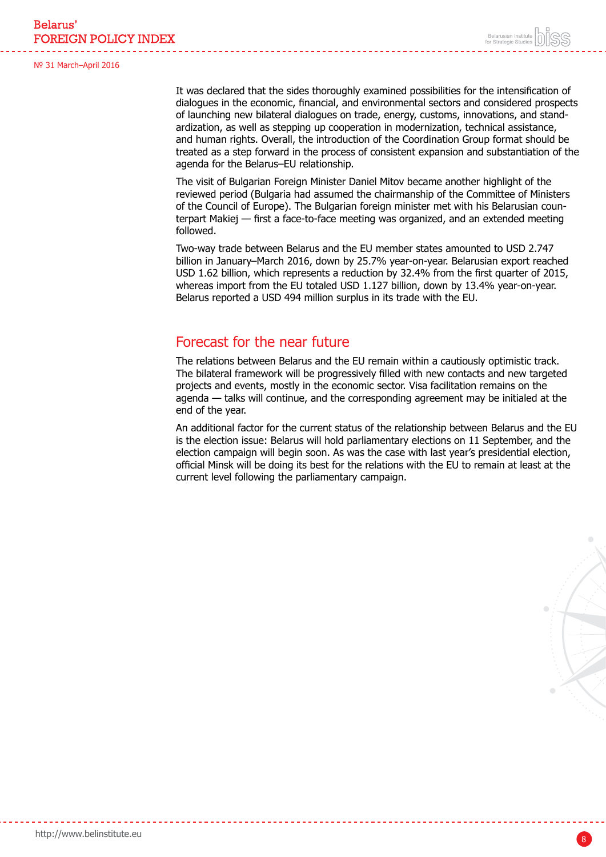It was declared that the sides thoroughly examined possibilities for the intensification of dialogues in the economic, financial, and environmental sectors and considered prospects of launching new bilateral dialogues on trade, energy, customs, innovations, and standardization, as well as stepping up cooperation in modernization, technical assistance, and human rights. Overall, the introduction of the Coordination Group format should be treated as a step forward in the process of consistent expansion and substantiation of the agenda for the Belarus–EU relationship.

The visit of Bulgarian Foreign Minister Daniel Mitov became another highlight of the reviewed period (Bulgaria had assumed the chairmanship of the Committee of Ministers of the Council of Europe). The Bulgarian foreign minister met with his Belarusian counterpart Makiej — first a face-to-face meeting was organized, and an extended meeting followed.

Two-way trade between Belarus and the EU member states amounted to USD 2.747 billion in January–March 2016, down by 25.7% year-on-year. Belarusian export reached USD 1.62 billion, which represents a reduction by 32.4% from the first quarter of 2015, whereas import from the EU totaled USD 1.127 billion, down by 13.4% year-on-year. Belarus reported a USD 494 million surplus in its trade with the EU.

### Forecast for the near future

The relations between Belarus and the EU remain within a cautiously optimistic track. The bilateral framework will be progressively filled with new contacts and new targeted projects and events, mostly in the economic sector. Visa facilitation remains on the agenda — talks will continue, and the corresponding agreement may be initialed at the end of the year.

An additional factor for the current status of the relationship between Belarus and the EU is the election issue: Belarus will hold parliamentary elections on 11 September, and the election campaign will begin soon. As was the case with last year's presidential election, official Minsk will be doing its best for the relations with the EU to remain at least at the current level following the parliamentary campaign.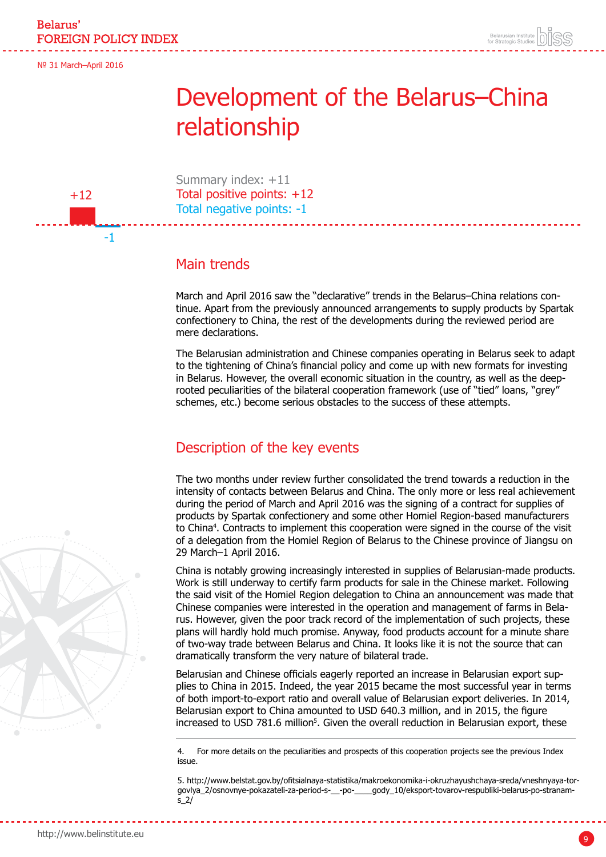$+12$ 

-1

## <span id="page-8-0"></span>Development of the Belarus–China relationship

Summary index: +11 Total positive points: +12 Total negative points: -1

## Main trends

March and April 2016 saw the "declarative" trends in the Belarus–China relations continue. Apart from the previously announced arrangements to supply products by Spartak confectionery to China, the rest of the developments during the reviewed period are mere declarations.

The Belarusian administration and Chinese companies operating in Belarus seek to adapt to the tightening of China's financial policy and come up with new formats for investing in Belarus. However, the overall economic situation in the country, as well as the deeprooted peculiarities of the bilateral cooperation framework (use of "tied" loans, "grey" schemes, etc.) become serious obstacles to the success of these attempts.

## Description of the key events

The two months under review further consolidated the trend towards a reduction in the intensity of contacts between Belarus and China. The only more or less real achievement during the period of March and April 2016 was the signing of a contract for supplies of products by Spartak confectionery and some other Homiel Region-based manufacturers to China4 . Contracts to implement this cooperation were signed in the course of the visit of a delegation from the Homiel Region of Belarus to the Chinese province of Jiangsu on 29 March–1 April 2016.

China is notably growing increasingly interested in supplies of Belarusian-made products. Work is still underway to certify farm products for sale in the Chinese market. Following the said visit of the Homiel Region delegation to China an announcement was made that Chinese companies were interested in the operation and management of farms in Belarus. However, given the poor track record of the implementation of such projects, these plans will hardly hold much promise. Anyway, food products account for a minute share of two-way trade between Belarus and China. It looks like it is not the source that can dramatically transform the very nature of bilateral trade.

Belarusian and Chinese officials eagerly reported an increase in Belarusian export supplies to China in 2015. Indeed, the year 2015 became the most successful year in terms of both import-to-export ratio and overall value of Belarusian export deliveries. In 2014, Belarusian export to China amounted to USD 640.3 million, and in 2015, the figure increased to USD 781.6 million<sup>5</sup>. Given the overall reduction in Belarusian export, these

4. For more details on the peculiarities and prospects of this cooperation projects see the previous Index issue.

5. http://www.belstat.gov.by/ofitsialnaya-statistika/makroekonomika-i-okruzhayushchaya-sreda/vneshnyaya-torgovlya\_2/osnovnye-pokazateli-za-period-s-\_\_-po-\_\_\_\_gody\_10/eksport-tovarov-respubliki-belarus-po-stranams\_2/

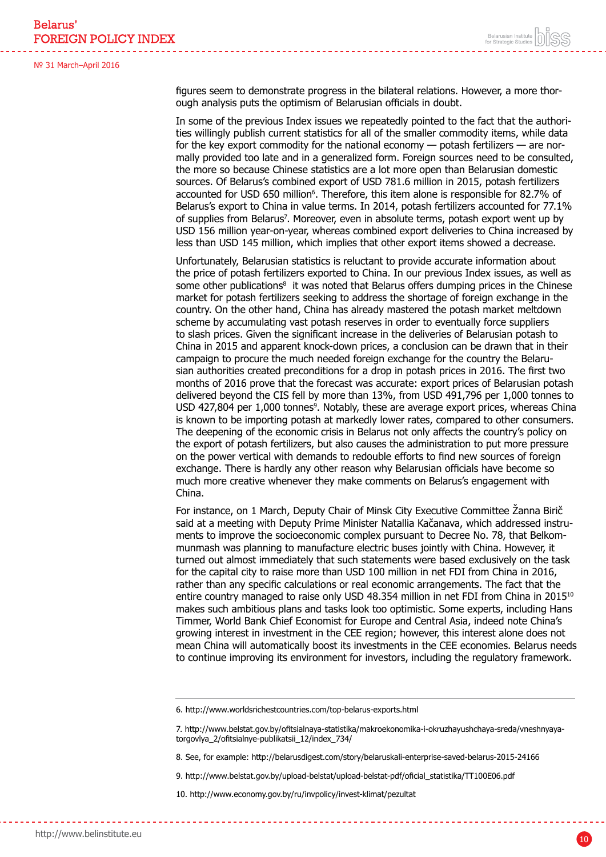figures seem to demonstrate progress in the bilateral relations. However, a more thorough analysis puts the optimism of Belarusian officials in doubt.

In some of the previous Index issues we repeatedly pointed to the fact that the authorities willingly publish current statistics for all of the smaller commodity items, while data for the key export commodity for the national economy — potash fertilizers — are normally provided too late and in a generalized form. Foreign sources need to be consulted, the more so because Chinese statistics are a lot more open than Belarusian domestic sources. Of Belarus's combined export of USD 781.6 million in 2015, potash fertilizers accounted for USD 650 million<sup>6</sup>. Therefore, this item alone is responsible for 82.7% of Belarus's export to China in value terms. In 2014, potash fertilizers accounted for 77.1% of supplies from Belarus<sup>7</sup> . Moreover, even in absolute terms, potash export went up by USD 156 million year-on-year, whereas combined export deliveries to China increased by less than USD 145 million, which implies that other export items showed a decrease.

Unfortunately, Belarusian statistics is reluctant to provide accurate information about the price of potash fertilizers exported to China. In our previous Index issues, as well as some other publications<sup>8</sup> it was noted that Belarus offers dumping prices in the Chinese market for potash fertilizers seeking to address the shortage of foreign exchange in the country. On the other hand, China has already mastered the potash market meltdown scheme by accumulating vast potash reserves in order to eventually force suppliers to slash prices. Given the significant increase in the deliveries of Belarusian potash to China in 2015 and apparent knock-down prices, a conclusion can be drawn that in their campaign to procure the much needed foreign exchange for the country the Belarusian authorities created preconditions for a drop in potash prices in 2016. The first two months of 2016 prove that the forecast was accurate: export prices of Belarusian potash delivered beyond the CIS fell by more than 13%, from USD 491,796 per 1,000 tonnes to USD 427,804 per 1,000 tonnes<sup>9</sup>. Notably, these are average export prices, whereas China is known to be importing potash at markedly lower rates, compared to other consumers. The deepening of the economic crisis in Belarus not only affects the country's policy on the export of potash fertilizers, but also causes the administration to put more pressure on the power vertical with demands to redouble efforts to find new sources of foreign exchange. There is hardly any other reason why Belarusian officials have become so much more creative whenever they make comments on Belarus's engagement with China.

For instance, on 1 March, Deputy Chair of Minsk City Executive Committee Žanna Birič said at a meeting with Deputy Prime Minister Natallia Kačanava, which addressed instruments to improve the socioeconomic complex pursuant to Decree No. 78, that Belkommunmash was planning to manufacture electric buses jointly with China. However, it turned out almost immediately that such statements were based exclusively on the task for the capital city to raise more than USD 100 million in net FDI from China in 2016, rather than any specific calculations or real economic arrangements. The fact that the entire country managed to raise only USD 48.354 million in net FDI from China in 2015<sup>10</sup> makes such ambitious plans and tasks look too optimistic. Some experts, including Hans Timmer, World Bank Chief Economist for Europe and Central Asia, indeed note China's growing interest in investment in the CEE region; however, this interest alone does not mean China will automatically boost its investments in the CEE economies. Belarus needs to continue improving its environment for investors, including the regulatory framework.

9. http://www.belstat.gov.by/upload-belstat/upload-belstat-pdf/oficial\_statistika/TT100E06.pdf

10. http://www.economy.gov.by/ru/invpolicy/invest-klimat/pezultat

<sup>6.</sup> http://www.worldsrichestcountries.com/top-belarus-exports.html

<sup>7.</sup> http://www.belstat.gov.by/ofitsialnaya-statistika/makroekonomika-i-okruzhayushchaya-sreda/vneshnyayatorgovlya\_2/ofitsialnye-publikatsii\_12/index\_734/

<sup>8.</sup> See, for example: http://belarusdigest.com/story/belaruskali-enterprise-saved-belarus-2015-24166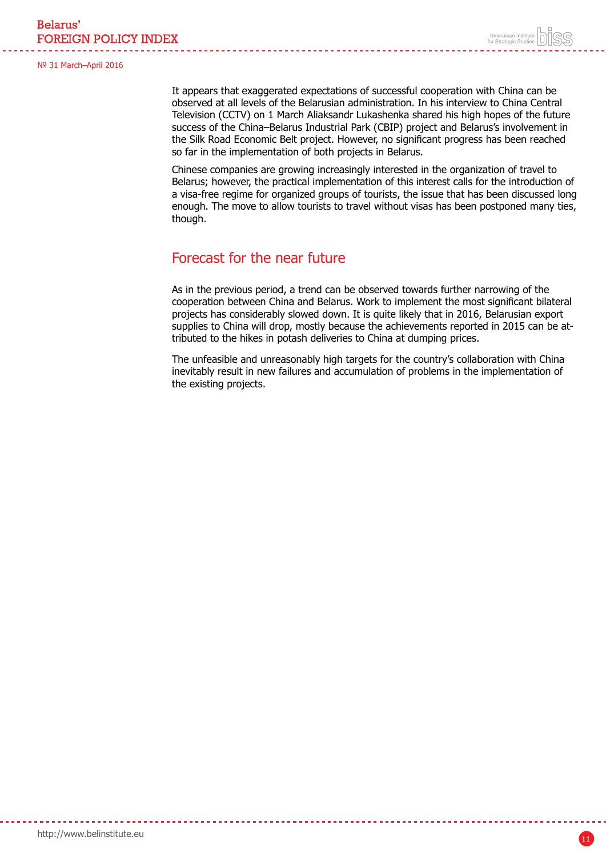It appears that exaggerated expectations of successful cooperation with China can be observed at all levels of the Belarusian administration. In his interview to China Central Television (CCTV) on 1 March Aliaksandr Lukashenka shared his high hopes of the future success of the China–Belarus Industrial Park (CBIP) project and Belarus's involvement in the Silk Road Economic Belt project. However, no significant progress has been reached so far in the implementation of both projects in Belarus.

Chinese companies are growing increasingly interested in the organization of travel to Belarus; however, the practical implementation of this interest calls for the introduction of a visa-free regime for organized groups of tourists, the issue that has been discussed long enough. The move to allow tourists to travel without visas has been postponed many ties, though.

### Forecast for the near future

As in the previous period, a trend can be observed towards further narrowing of the cooperation between China and Belarus. Work to implement the most significant bilateral projects has considerably slowed down. It is quite likely that in 2016, Belarusian export supplies to China will drop, mostly because the achievements reported in 2015 can be attributed to the hikes in potash deliveries to China at dumping prices.

The unfeasible and unreasonably high targets for the country's collaboration with China inevitably result in new failures and accumulation of problems in the implementation of the existing projects.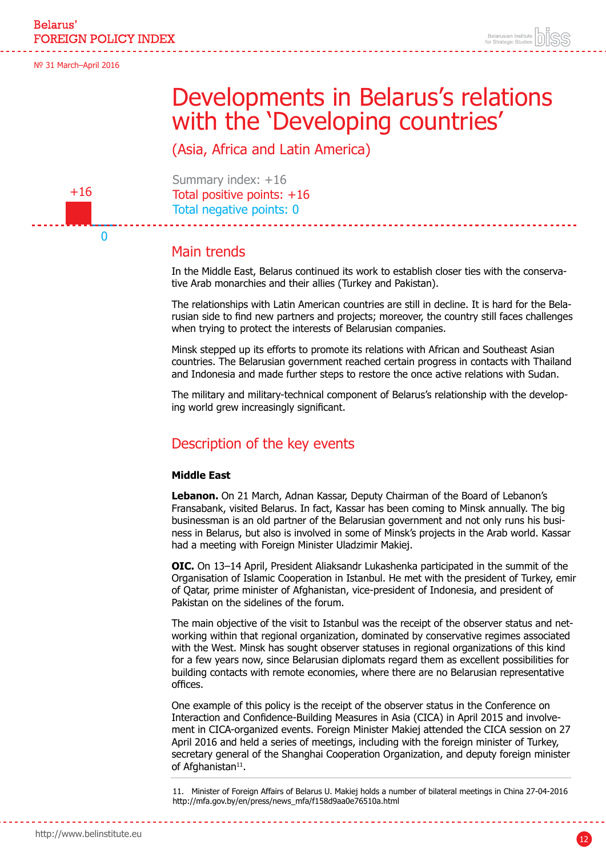## Developments in Belarus's relations with the 'Developing countries'

(Asia, Africa and Latin America)

<span id="page-11-0"></span>

 $\Omega$ 

Summary index: +16 Total positive points: +16 Total negative points: 0

### Main trends

In the Middle East, Belarus continued its work to establish closer ties with the conservative Arab monarchies and their allies (Turkey and Pakistan).

The relationships with Latin American countries are still in decline. It is hard for the Belarusian side to find new partners and projects; moreover, the country still faces challenges when trying to protect the interests of Belarusian companies.

Minsk stepped up its efforts to promote its relations with African and Southeast Asian countries. The Belarusian government reached certain progress in contacts with Thailand and Indonesia and made further steps to restore the once active relations with Sudan.

The military and military-technical component of Belarus's relationship with the developing world grew increasingly significant.

### Description of the key events

#### **Middle East**

**Lebanon.** On 21 March, Adnan Kassar, Deputy Chairman of the Board of Lebanon's Fransabank, visited Belarus. In fact, Kassar has been coming to Minsk annually. The big businessman is an old partner of the Belarusian government and not only runs his business in Belarus, but also is involved in some of Minsk's projects in the Arab world. Kassar had a meeting with Foreign Minister Uladzimir Makiej.

**OIC.** On 13–14 April, President Aliaksandr Lukashenka participated in the summit of the Organisation of Islamic Cooperation in Istanbul. He met with the president of Turkey, emir of Qatar, prime minister of Afghanistan, vice-president of Indonesia, and president of Pakistan on the sidelines of the forum.

The main objective of the visit to Istanbul was the receipt of the observer status and networking within that regional organization, dominated by conservative regimes associated with the West. Minsk has sought observer statuses in regional organizations of this kind for a few years now, since Belarusian diplomats regard them as excellent possibilities for building contacts with remote economies, where there are no Belarusian representative offices.

One example of this policy is the receipt of the observer status in the Conference on Interaction and Confidence-Building Measures in Asia (CICA) in April 2015 and involvement in CICA-organized events. Foreign Minister Makiej attended the CICA session on 27 April 2016 and held a series of meetings, including with the foreign minister of Turkey, secretary general of the Shanghai Cooperation Organization, and deputy foreign minister of Afghanistan<sup>11</sup>.

11. Minister of Foreign Affairs of Belarus U. Makiej holds a number of bilateral meetings in China 27-04-2016 http://mfa.gov.by/en/press/news\_mfa/f158d9aa0e76510a.html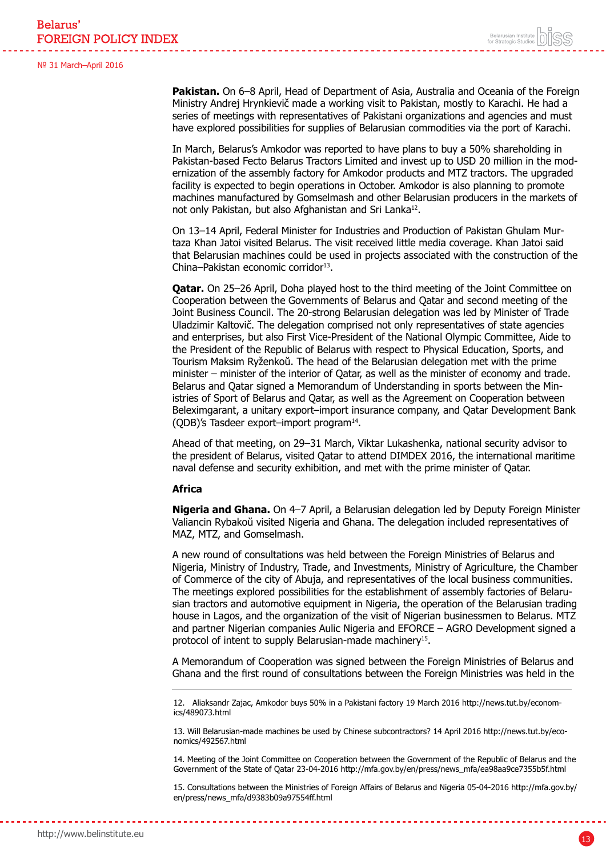**Pakistan.** On 6–8 April, Head of Department of Asia, Australia and Oceania of the Foreign Ministry Andrej Hrynkievič made a working visit to Pakistan, mostly to Karachi. He had a series of meetings with representatives of Pakistani organizations and agencies and must have explored possibilities for supplies of Belarusian commodities via the port of Karachi.

In March, Belarus's Amkodor was reported to have plans to buy a 50% shareholding in Pakistan-based Fecto Belarus Tractors Limited and invest up to USD 20 million in the modernization of the assembly factory for Amkodor products and MTZ tractors. The upgraded facility is expected to begin operations in October. Amkodor is also planning to promote machines manufactured by Gomselmash and other Belarusian producers in the markets of not only Pakistan, but also Afghanistan and Sri Lanka<sup>12</sup>.

On 13–14 April, Federal Minister for Industries and Production of Pakistan Ghulam Murtaza Khan Jatoi visited Belarus. The visit received little media coverage. Khan Jatoi said that Belarusian machines could be used in projects associated with the construction of the China–Pakistan economic corridor<sup>13</sup>.

**Qatar.** On 25–26 April, Doha played host to the third meeting of the Joint Committee on Cooperation between the Governments of Belarus and Qatar and second meeting of the Joint Business Council. The 20-strong Belarusian delegation was led by Minister of Trade Uladzimir Kaltovič. The delegation comprised not only representatives of state agencies and enterprises, but also First Vice-President of the National Olympic Committee, Aide to the President of the Republic of Belarus with respect to Physical Education, Sports, and Tourism Maksim Ryženkoŭ. The head of the Belarusian delegation met with the prime minister – minister of the interior of Qatar, as well as the minister of economy and trade. Belarus and Qatar signed a Memorandum of Understanding in sports between the Ministries of Sport of Belarus and Qatar, as well as the Agreement on Cooperation between Beleximgarant, a unitary export–import insurance company, and Qatar Development Bank (QDB)'s Tasdeer export–import program14.

Ahead of that meeting, on 29–31 March, Viktar Lukashenka, national security advisor to the president of Belarus, visited Qatar to attend DIMDEX 2016, the international maritime naval defense and security exhibition, and met with the prime minister of Qatar.

#### **Africa**

**Nigeria and Ghana.** On 4–7 April, a Belarusian delegation led by Deputy Foreign Minister Valiancin Rybakoŭ visited Nigeria and Ghana. The delegation included representatives of MAZ, MTZ, and Gomselmash.

A new round of consultations was held between the Foreign Ministries of Belarus and Nigeria, Ministry of Industry, Trade, and Investments, Ministry of Agriculture, the Chamber of Commerce of the city of Abuja, and representatives of the local business communities. The meetings explored possibilities for the establishment of assembly factories of Belarusian tractors and automotive equipment in Nigeria, the operation of the Belarusian trading house in Lagos, and the organization of the visit of Nigerian businessmen to Belarus. MTZ and partner Nigerian companies Aulic Nigeria and EFORCE – AGRO Development signed a protocol of intent to supply Belarusian-made machinery15.

A Memorandum of Cooperation was signed between the Foreign Ministries of Belarus and Ghana and the first round of consultations between the Foreign Ministries was held in the

12. Aliaksandr Zajac, Amkodor buys 50% in a Pakistani factory 19 March 2016 http://news.tut.by/economics/489073.html

13. Will Belarusian-made machines be used by Chinese subcontractors? 14 April 2016 http://news.tut.by/economics/492567.html

14. Meeting of the Joint Committee on Cooperation between the Government of the Republic of Belarus and the Government of the State of Qatar 23-04-2016 http://mfa.gov.by/en/press/news\_mfa/ea98aa9ce7355b5f.html

15. Consultations between the Ministries of Foreign Affairs of Belarus and Nigeria 05-04-2016 http://mfa.gov.by/ en/press/news\_mfa/d9383b09a97554ff.html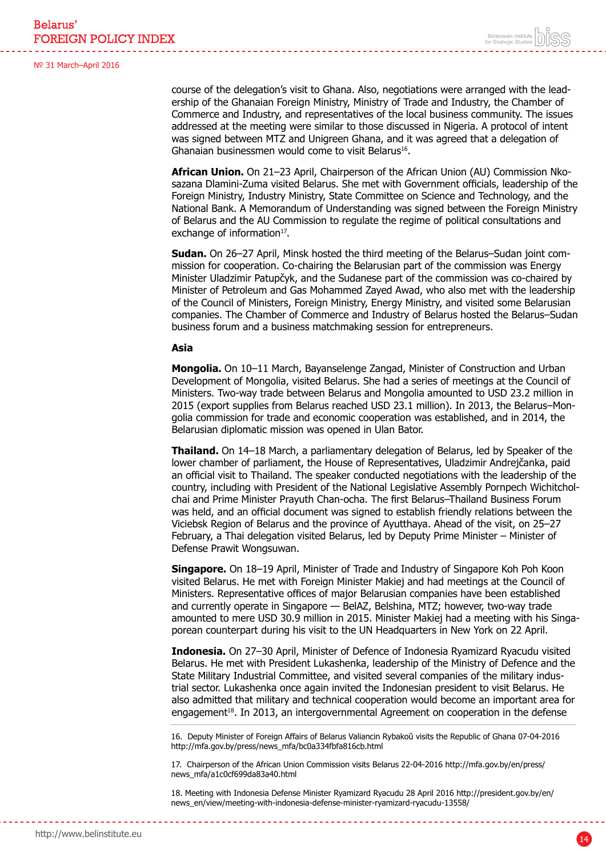course of the delegation's visit to Ghana. Also, negotiations were arranged with the leadership of the Ghanaian Foreign Ministry, Ministry of Trade and Industry, the Chamber of Commerce and Industry, and representatives of the local business community. The issues addressed at the meeting were similar to those discussed in Nigeria. A protocol of intent was signed between MTZ and Unigreen Ghana, and it was agreed that a delegation of Ghanaian businessmen would come to visit Belarus<sup>16</sup>.

**African Union.** On 21–23 April, Chairperson of the African Union (AU) Commission Nkosazana Dlamini-Zuma visited Belarus. She met with Government officials, leadership of the Foreign Ministry, Industry Ministry, State Committee on Science and Technology, and the National Bank. A Memorandum of Understanding was signed between the Foreign Ministry of Belarus and the AU Commission to regulate the regime of political consultations and exchange of information<sup>17</sup>.

**Sudan.** On 26–27 April, Minsk hosted the third meeting of the Belarus–Sudan joint commission for cooperation. Co-chairing the Belarusian part of the commission was Energy Minister Uladzimir Patupčyk, and the Sudanese part of the commission was co-chaired by Minister of Petroleum and Gas Mohammed Zayed Awad, who also met with the leadership of the Council of Ministers, Foreign Ministry, Energy Ministry, and visited some Belarusian companies. The Chamber of Commerce and Industry of Belarus hosted the Belarus–Sudan business forum and a business matchmaking session for entrepreneurs.

#### **Asia**

**Mongolia.** On 10–11 March, Bayanselenge Zangad, Minister of Construction and Urban Development of Mongolia, visited Belarus. She had a series of meetings at the Council of Ministers. Two-way trade between Belarus and Mongolia amounted to USD 23.2 million in 2015 (export supplies from Belarus reached USD 23.1 million). In 2013, the Belarus–Mongolia commission for trade and economic cooperation was established, and in 2014, the Belarusian diplomatic mission was opened in Ulan Bator.

**Thailand.** On 14–18 March, a parliamentary delegation of Belarus, led by Speaker of the lower chamber of parliament, the House of Representatives, Uladzimir Andrejčanka, paid an official visit to Thailand. The speaker conducted negotiations with the leadership of the country, including with President of the National Legislative Assembly Pornpech Wichitcholchai and Prime Minister Prayuth Chan-ocha. The first Belarus–Thailand Business Forum was held, and an official document was signed to establish friendly relations between the Viciebsk Region of Belarus and the province of Ayutthaya. Ahead of the visit, on 25–27 February, a Thai delegation visited Belarus, led by Deputy Prime Minister – Minister of Defense Prawit Wongsuwan.

**Singapore.** On 18–19 April, Minister of Trade and Industry of Singapore Koh Poh Koon visited Belarus. He met with Foreign Minister Makiej and had meetings at the Council of Ministers. Representative offices of major Belarusian companies have been established and currently operate in Singapore — BelAZ, Belshina, MTZ; however, two-way trade amounted to mere USD 30.9 million in 2015. Minister Makiej had a meeting with his Singaporean counterpart during his visit to the UN Headquarters in New York on 22 April.

**Indonesia.** On 27–30 April, Minister of Defence of Indonesia Ryamizard Ryacudu visited Belarus. He met with President Lukashenka, leadership of the Ministry of Defence and the State Military Industrial Committee, and visited several companies of the military industrial sector. Lukashenka once again invited the Indonesian president to visit Belarus. He also admitted that military and technical cooperation would become an important area for engagement<sup>18</sup>. In 2013, an intergovernmental Agreement on cooperation in the defense

16. Deputy Minister of Foreign Affairs of Belarus Valiancin Rybakoŭ visits the Republic of Ghana 07-04-2016 http://mfa.gov.by/press/news\_mfa/bc0a334fbfa816cb.html

17. Chairperson of the African Union Commission visits Belarus 22-04-2016 http://mfa.gov.by/en/press/ news\_mfa/a1c0cf699da83a40.html

18. Meeting with Indonesia Defense Minister Ryamizard Ryacudu 28 April 2016 http://president.gov.by/en/ news\_en/view/meeting-with-indonesia-defense-minister-ryamizard-ryacudu-13558/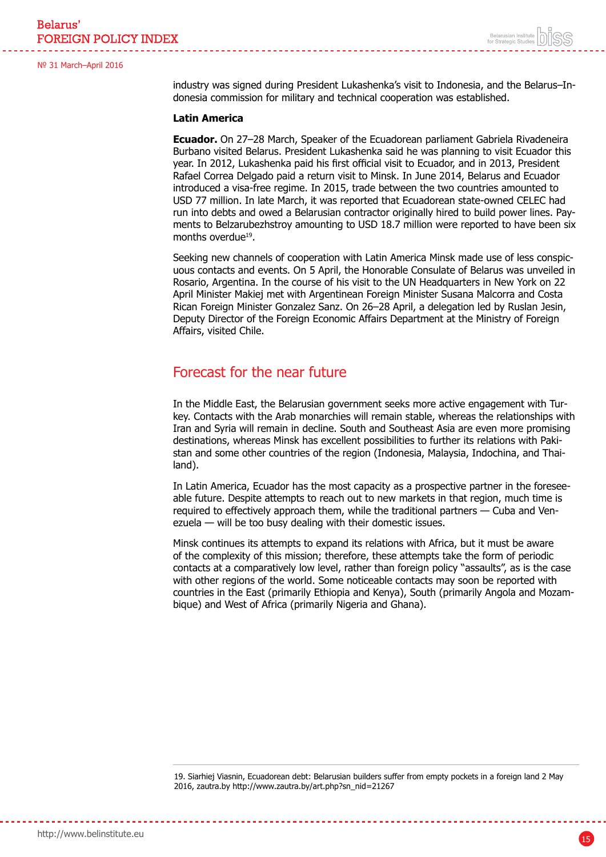Belarus' **FOREIGN POLICY INDEX** 

№ 31 March–April 2016

industry was signed during President Lukashenka's visit to Indonesia, and the Belarus–Indonesia commission for military and technical cooperation was established.

#### **Latin America**

**Ecuador.** On 27–28 March, Speaker of the Ecuadorean parliament Gabriela Rivadeneira Burbano visited Belarus. President Lukashenka said he was planning to visit Ecuador this year. In 2012, Lukashenka paid his first official visit to Ecuador, and in 2013, President Rafael Correa Delgado paid a return visit to Minsk. In June 2014, Belarus and Ecuador introduced a visa-free regime. In 2015, trade between the two countries amounted to USD 77 million. In late March, it was reported that Ecuadorean state-owned CELEC had run into debts and owed a Belarusian contractor originally hired to build power lines. Payments to Belzarubezhstroy amounting to USD 18.7 million were reported to have been six months overdue<sup>19</sup>.

Seeking new channels of cooperation with Latin America Minsk made use of less conspicuous contacts and events. On 5 April, the Honorable Consulate of Belarus was unveiled in Rosario, Argentina. In the course of his visit to the UN Headquarters in New York on 22 April Minister Makiej met with Argentinean Foreign Minister Susana Malcorra and Costa Rican Foreign Minister Gonzalez Sanz. On 26–28 April, a delegation led by Ruslan Jesin, Deputy Director of the Foreign Economic Affairs Department at the Ministry of Foreign Affairs, visited Chile.

### Forecast for the near future

In the Middle East, the Belarusian government seeks more active engagement with Turkey. Contacts with the Arab monarchies will remain stable, whereas the relationships with Iran and Syria will remain in decline. South and Southeast Asia are even more promising destinations, whereas Minsk has excellent possibilities to further its relations with Pakistan and some other countries of the region (Indonesia, Malaysia, Indochina, and Thailand).

In Latin America, Ecuador has the most capacity as a prospective partner in the foreseeable future. Despite attempts to reach out to new markets in that region, much time is required to effectively approach them, while the traditional partners — Cuba and Venezuela — will be too busy dealing with their domestic issues.

Minsk continues its attempts to expand its relations with Africa, but it must be aware of the complexity of this mission; therefore, these attempts take the form of periodic contacts at a comparatively low level, rather than foreign policy "assaults", as is the case with other regions of the world. Some noticeable contacts may soon be reported with countries in the East (primarily Ethiopia and Kenya), South (primarily Angola and Mozambique) and West of Africa (primarily Nigeria and Ghana).

19. Siarhiej Viasnin, Ecuadorean debt: Belarusian builders suffer from empty pockets in a foreign land 2 May 2016, zautra.by http://www.zautra.by/art.php?sn\_nid=21267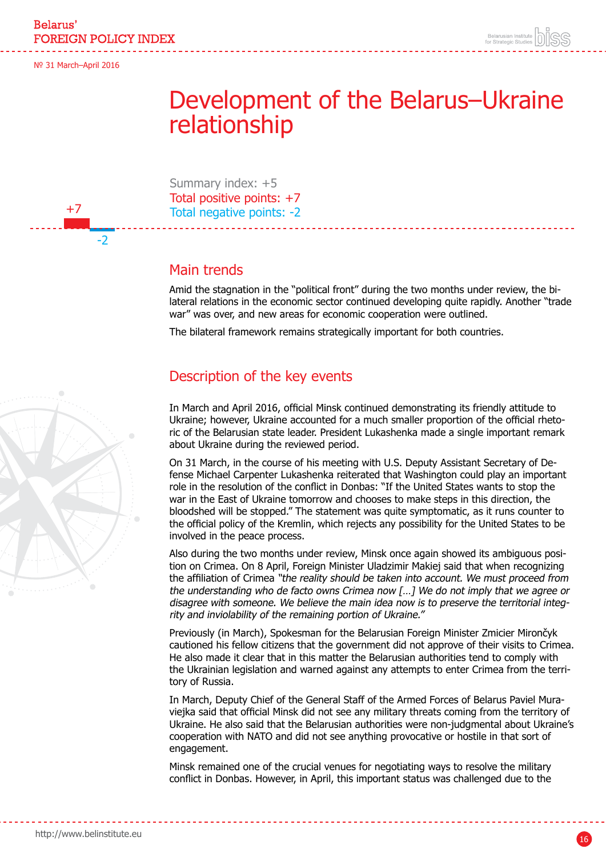+7

-2

## <span id="page-15-0"></span>Development of the Belarus–Ukraine relationship

Summary index: +5 Total positive points: +7 Total negative points: -2

### Main trends

Amid the stagnation in the "political front" during the two months under review, the bilateral relations in the economic sector continued developing quite rapidly. Another "trade war" was over, and new areas for economic cooperation were outlined.

The bilateral framework remains strategically important for both countries.

### Description of the key events

In March and April 2016, official Minsk continued demonstrating its friendly attitude to Ukraine; however, Ukraine accounted for a much smaller proportion of the official rhetoric of the Belarusian state leader. President Lukashenka made a single important remark about Ukraine during the reviewed period.

On 31 March, in the course of his meeting with U.S. Deputy Assistant Secretary of Defense Michael Carpenter Lukashenka reiterated that Washington could play an important role in the resolution of the conflict in Donbas: "If the United States wants to stop the war in the East of Ukraine tomorrow and chooses to make steps in this direction, the bloodshed will be stopped." The statement was quite symptomatic, as it runs counter to the official policy of the Kremlin, which rejects any possibility for the United States to be involved in the peace process.

Also during the two months under review, Minsk once again showed its ambiguous position on Crimea. On 8 April, Foreign Minister Uladzimir Makiej said that when recognizing the affiliation of Crimea "the reality should be taken into account. We must proceed from the understanding who de facto owns Crimea now […] We do not imply that we agree or disagree with someone. We believe the main idea now is to preserve the territorial integrity and inviolability of the remaining portion of Ukraine."

Previously (in March), Spokesman for the Belarusian Foreign Minister Zmicier Mirončyk cautioned his fellow citizens that the government did not approve of their visits to Crimea. He also made it clear that in this matter the Belarusian authorities tend to comply with the Ukrainian legislation and warned against any attempts to enter Crimea from the territory of Russia.

In March, Deputy Chief of the General Staff of the Armed Forces of Belarus Paviel Muraviejka said that official Minsk did not see any military threats coming from the territory of Ukraine. He also said that the Belarusian authorities were non-judgmental about Ukraine's cooperation with NATO and did not see anything provocative or hostile in that sort of engagement.

Minsk remained one of the crucial venues for negotiating ways to resolve the military conflict in Donbas. However, in April, this important status was challenged due to the

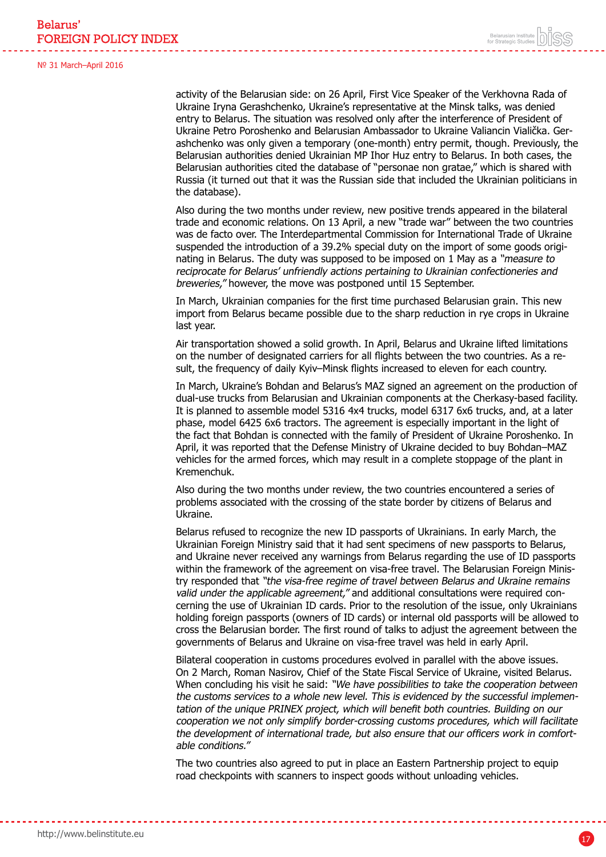activity of the Belarusian side: on 26 April, First Vice Speaker of the Verkhovna Rada of Ukraine Iryna Gerashchenko, Ukraine's representative at the Minsk talks, was denied entry to Belarus. The situation was resolved only after the interference of President of Ukraine Petro Poroshenko and Belarusian Ambassador to Ukraine Valiancin Vialička. Gerashchenko was only given a temporary (one-month) entry permit, though. Previously, the Belarusian authorities denied Ukrainian MP Ihor Huz entry to Belarus. In both cases, the Belarusian authorities cited the database of "personae non gratae," which is shared with Russia (it turned out that it was the Russian side that included the Ukrainian politicians in the database).

Also during the two months under review, new positive trends appeared in the bilateral trade and economic relations. On 13 April, a new "trade war" between the two countries was de facto over. The Interdepartmental Commission for International Trade of Ukraine suspended the introduction of a 39.2% special duty on the import of some goods originating in Belarus. The duty was supposed to be imposed on 1 May as a "measure to reciprocate for Belarus' unfriendly actions pertaining to Ukrainian confectioneries and breweries," however, the move was postponed until 15 September.

In March, Ukrainian companies for the first time purchased Belarusian grain. This new import from Belarus became possible due to the sharp reduction in rye crops in Ukraine last year.

Air transportation showed a solid growth. In April, Belarus and Ukraine lifted limitations on the number of designated carriers for all flights between the two countries. As a result, the frequency of daily Kyiv–Minsk flights increased to eleven for each country.

In March, Ukraine's Bohdan and Belarus's MAZ signed an agreement on the production of dual-use trucks from Belarusian and Ukrainian components at the Cherkasy-based facility. It is planned to assemble model 5316 4x4 trucks, model 6317 6x6 trucks, and, at a later phase, model 6425 6x6 tractors. The agreement is especially important in the light of the fact that Bohdan is connected with the family of President of Ukraine Poroshenko. In April, it was reported that the Defense Ministry of Ukraine decided to buy Bohdan–MAZ vehicles for the armed forces, which may result in a complete stoppage of the plant in Kremenchuk.

Also during the two months under review, the two countries encountered a series of problems associated with the crossing of the state border by citizens of Belarus and Ukraine.

Belarus refused to recognize the new ID passports of Ukrainians. In early March, the Ukrainian Foreign Ministry said that it had sent specimens of new passports to Belarus, and Ukraine never received any warnings from Belarus regarding the use of ID passports within the framework of the agreement on visa-free travel. The Belarusian Foreign Ministry responded that "the visa-free regime of travel between Belarus and Ukraine remains valid under the applicable agreement," and additional consultations were required concerning the use of Ukrainian ID cards. Prior to the resolution of the issue, only Ukrainians holding foreign passports (owners of ID cards) or internal old passports will be allowed to cross the Belarusian border. The first round of talks to adjust the agreement between the governments of Belarus and Ukraine on visa-free travel was held in early April.

Bilateral cooperation in customs procedures evolved in parallel with the above issues. On 2 March, Roman Nasirov, Chief of the State Fiscal Service of Ukraine, visited Belarus. When concluding his visit he said: "We have possibilities to take the cooperation between the customs services to a whole new level. This is evidenced by the successful implementation of the unique PRINEX project, which will benefit both countries. Building on our cooperation we not only simplify border-crossing customs procedures, which will facilitate the development of international trade, but also ensure that our officers work in comfortable conditions."

The two countries also agreed to put in place an Eastern Partnership project to equip road checkpoints with scanners to inspect goods without unloading vehicles.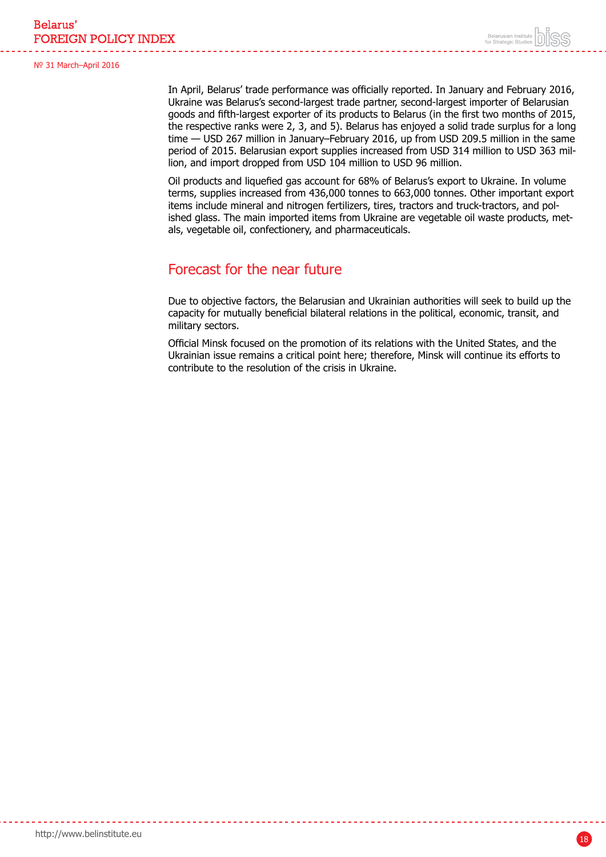In April, Belarus' trade performance was officially reported. In January and February 2016, Ukraine was Belarus's second-largest trade partner, second-largest importer of Belarusian goods and fifth-largest exporter of its products to Belarus (in the first two months of 2015, the respective ranks were 2, 3, and 5). Belarus has enjoyed a solid trade surplus for a long time — USD 267 million in January–February 2016, up from USD 209.5 million in the same period of 2015. Belarusian export supplies increased from USD 314 million to USD 363 million, and import dropped from USD 104 million to USD 96 million.

Oil products and liquefied gas account for 68% of Belarus's export to Ukraine. In volume terms, supplies increased from 436,000 tonnes to 663,000 tonnes. Other important export items include mineral and nitrogen fertilizers, tires, tractors and truck-tractors, and polished glass. The main imported items from Ukraine are vegetable oil waste products, metals, vegetable oil, confectionery, and pharmaceuticals.

### Forecast for the near future

Due to objective factors, the Belarusian and Ukrainian authorities will seek to build up the capacity for mutually beneficial bilateral relations in the political, economic, transit, and military sectors.

Official Minsk focused on the promotion of its relations with the United States, and the Ukrainian issue remains a critical point here; therefore, Minsk will continue its efforts to contribute to the resolution of the crisis in Ukraine.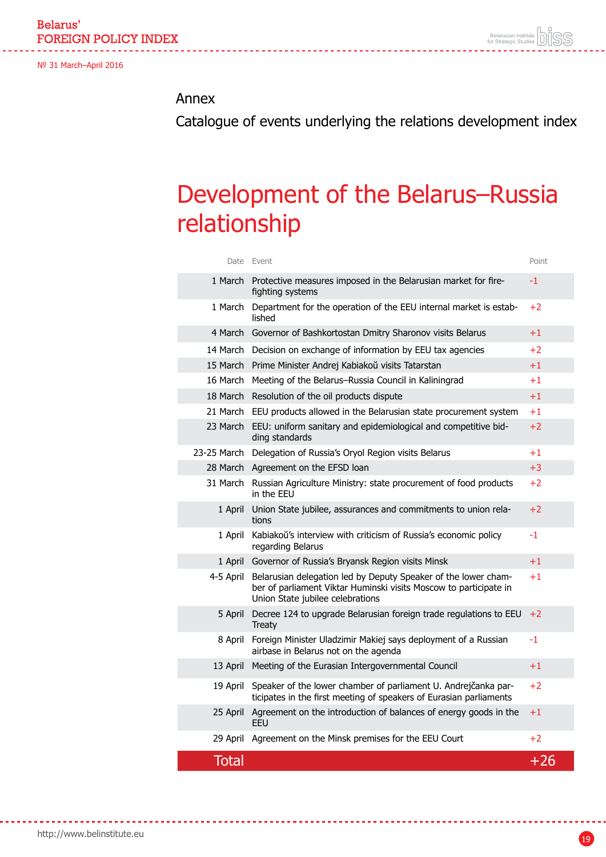### <span id="page-18-0"></span>Annex

Catalogue of events underlying the relations development index

## Development of the Belarus–Russia relationship

| 1 March      | Department for the operation of the EEU internal market is estab-                                                                                                       | $+2$  |
|--------------|-------------------------------------------------------------------------------------------------------------------------------------------------------------------------|-------|
| 4 March      | lished<br>Governor of Bashkortostan Dmitry Sharonov visits Belarus                                                                                                      | $+1$  |
|              |                                                                                                                                                                         |       |
|              | 14 March Decision on exchange of information by EEU tax agencies                                                                                                        | $+2$  |
|              | 15 March Prime Minister Andrej Kabiakoŭ visits Tatarstan                                                                                                                | $+1$  |
|              | 16 March Meeting of the Belarus-Russia Council in Kaliningrad                                                                                                           | $+1$  |
|              | 18 March Resolution of the oil products dispute                                                                                                                         | $+1$  |
| 21 March     | EEU products allowed in the Belarusian state procurement system                                                                                                         | $+1$  |
| 23 March     | EEU: uniform sanitary and epidemiological and competitive bid-<br>ding standards                                                                                        | $+2$  |
|              | 23-25 March Delegation of Russia's Oryol Region visits Belarus                                                                                                          | $+1$  |
|              | 28 March Agreement on the EFSD loan                                                                                                                                     | $+3$  |
| 31 March     | Russian Agriculture Ministry: state procurement of food products<br>in the EEU                                                                                          | $+2$  |
| 1 April      | Union State jubilee, assurances and commitments to union rela-<br>tions                                                                                                 | $+2$  |
| 1 April      | Kabiakoŭ's interview with criticism of Russia's economic policy<br>regarding Belarus                                                                                    | -1    |
| 1 April      | Governor of Russia's Bryansk Region visits Minsk                                                                                                                        | $+1$  |
| 4-5 April    | Belarusian delegation led by Deputy Speaker of the lower cham-<br>ber of parliament Viktar Huminski visits Moscow to participate in<br>Union State jubilee celebrations | $+1$  |
| 5 April      | Decree 124 to upgrade Belarusian foreign trade regulations to EEU<br><b>Treaty</b>                                                                                      | $+2$  |
| 8 April      | Foreign Minister Uladzimir Makiej says deployment of a Russian<br>airbase in Belarus not on the agenda                                                                  | $-1$  |
| 13 April     | Meeting of the Eurasian Intergovernmental Council                                                                                                                       | $+1$  |
| 19 April     | Speaker of the lower chamber of parliament U. Andrejčanka par-<br>ticipates in the first meeting of speakers of Eurasian parliaments                                    | $+2$  |
| 25 April     | Agreement on the introduction of balances of energy goods in the<br><b>FFU</b>                                                                                          | $+1$  |
| 29 April     | Agreement on the Minsk premises for the EEU Court                                                                                                                       | $+2$  |
| <b>Total</b> |                                                                                                                                                                         | $+26$ |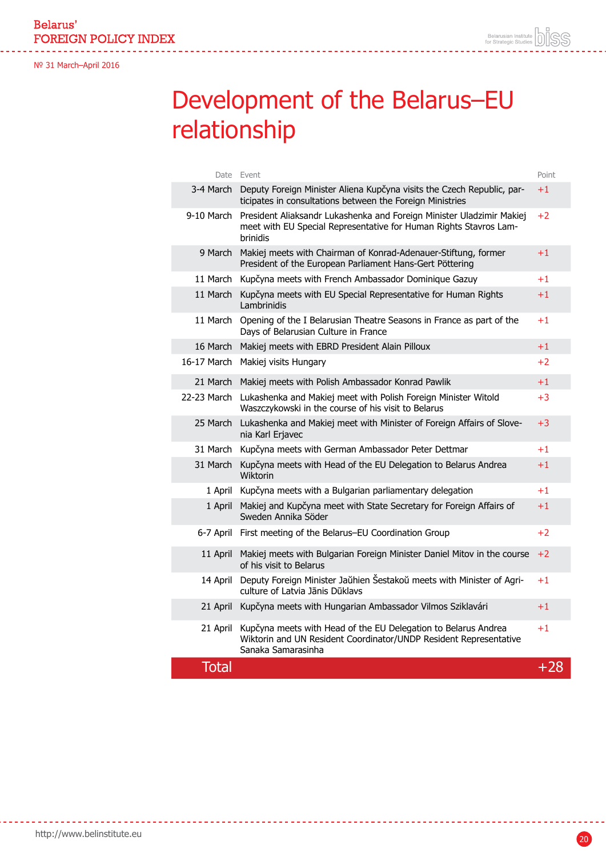## Development of the Belarus–EU relationship

|              | Date Event                                                                                                                                                | Point       |
|--------------|-----------------------------------------------------------------------------------------------------------------------------------------------------------|-------------|
| 3-4 March    | Deputy Foreign Minister Aliena Kupčyna visits the Czech Republic, par-<br>ticipates in consultations between the Foreign Ministries                       | $+1$        |
| 9-10 March   | President Aliaksandr Lukashenka and Foreign Minister Uladzimir Makiej<br>meet with EU Special Representative for Human Rights Stavros Lam-<br>brinidis    | $+2$        |
| 9 March      | Makiej meets with Chairman of Konrad-Adenauer-Stiftung, former<br>President of the European Parliament Hans-Gert Pöttering                                | $+1$        |
| 11 March     | Kupčyna meets with French Ambassador Dominique Gazuy                                                                                                      | $+1$        |
| 11 March     | Kupčyna meets with EU Special Representative for Human Rights<br>Lambrinidis                                                                              | $+1$        |
| 11 March     | Opening of the I Belarusian Theatre Seasons in France as part of the<br>Days of Belarusian Culture in France                                              | $+1$        |
| 16 March     | Makiej meets with EBRD President Alain Pilloux                                                                                                            | $^{\rm +1}$ |
| 16-17 March  | Makiej visits Hungary                                                                                                                                     | $+2$        |
| 21 March     | Makiej meets with Polish Ambassador Konrad Pawlik                                                                                                         | $+1$        |
|              | 22-23 March Lukashenka and Makiej meet with Polish Foreign Minister Witold<br>Waszczykowski in the course of his visit to Belarus                         | $+3$        |
| 25 March     | Lukashenka and Makiej meet with Minister of Foreign Affairs of Slove-<br>nia Karl Erjavec                                                                 | $+3$        |
| 31 March     | Kupčyna meets with German Ambassador Peter Dettmar                                                                                                        | $+1$        |
| 31 March     | Kupčyna meets with Head of the EU Delegation to Belarus Andrea<br>Wiktorin                                                                                | $+1$        |
| 1 April      | Kupčyna meets with a Bulgarian parliamentary delegation                                                                                                   | $+1$        |
| 1 April      | Makiej and Kupčyna meet with State Secretary for Foreign Affairs of<br>Sweden Annika Söder                                                                | $+1$        |
|              | 6-7 April First meeting of the Belarus-EU Coordination Group                                                                                              | $+2$        |
| 11 April     | Makiej meets with Bulgarian Foreign Minister Daniel Mitov in the course<br>of his visit to Belarus                                                        | $+2$        |
| 14 April     | Deputy Foreign Minister Jaŭhien Šestakoŭ meets with Minister of Agri-<br>culture of Latvia Jānis Dūklavs                                                  | $+1$        |
| 21 April     | Kupčyna meets with Hungarian Ambassador Vilmos Sziklavári                                                                                                 | $+1$        |
| 21 April     | Kupčyna meets with Head of the EU Delegation to Belarus Andrea<br>Wiktorin and UN Resident Coordinator/UNDP Resident Representative<br>Sanaka Samarasinha | $+1$        |
| <b>Total</b> |                                                                                                                                                           | $+28$       |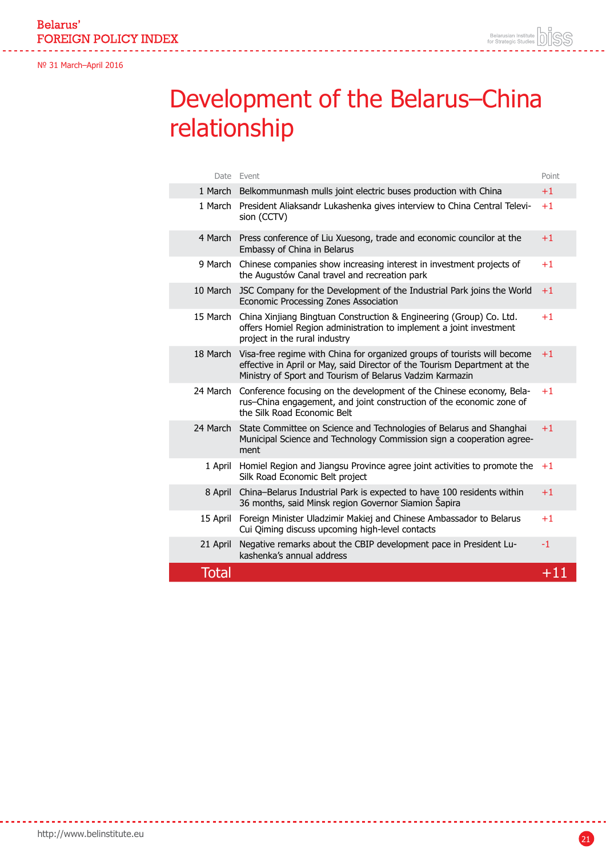## Development of the Belarus–China relationship

|              | Date Event                                                                                                                                                                                                        | Point |
|--------------|-------------------------------------------------------------------------------------------------------------------------------------------------------------------------------------------------------------------|-------|
|              | 1 March Belkommunmash mulls joint electric buses production with China                                                                                                                                            | $+1$  |
|              | 1 March President Aliaksandr Lukashenka gives interview to China Central Televi-<br>sion (CCTV)                                                                                                                   | $+1$  |
| 4 March      | Press conference of Liu Xuesong, trade and economic councilor at the<br>Embassy of China in Belarus                                                                                                               | $+1$  |
| 9 March      | Chinese companies show increasing interest in investment projects of<br>the Augustów Canal travel and recreation park                                                                                             | $+1$  |
| 10 March     | JSC Company for the Development of the Industrial Park joins the World<br>Economic Processing Zones Association                                                                                                   | $+1$  |
| 15 March     | China Xinjiang Bingtuan Construction & Engineering (Group) Co. Ltd.<br>offers Homiel Region administration to implement a joint investment<br>project in the rural industry                                       | $+1$  |
| 18 March     | Visa-free regime with China for organized groups of tourists will become<br>effective in April or May, said Director of the Tourism Department at the<br>Ministry of Sport and Tourism of Belarus Vadzim Karmazin | $+1$  |
| 24 March     | Conference focusing on the development of the Chinese economy, Bela-<br>rus-China engagement, and joint construction of the economic zone of<br>the Silk Road Economic Belt                                       | $+1$  |
| 24 March     | State Committee on Science and Technologies of Belarus and Shanghai<br>Municipal Science and Technology Commission sign a cooperation agree-<br>ment                                                              | $+1$  |
| 1 April      | Homiel Region and Jiangsu Province agree joint activities to promote the<br>Silk Road Economic Belt project                                                                                                       | $+1$  |
| 8 April      | China-Belarus Industrial Park is expected to have 100 residents within<br>36 months, said Minsk region Governor Siamion Šapira                                                                                    | $+1$  |
| 15 April     | Foreign Minister Uladzimir Makiej and Chinese Ambassador to Belarus<br>Cui Qiming discuss upcoming high-level contacts                                                                                            | $+1$  |
| 21 April     | Negative remarks about the CBIP development pace in President Lu-<br>kashenka's annual address                                                                                                                    | $-1$  |
| <b>Total</b> |                                                                                                                                                                                                                   | $+11$ |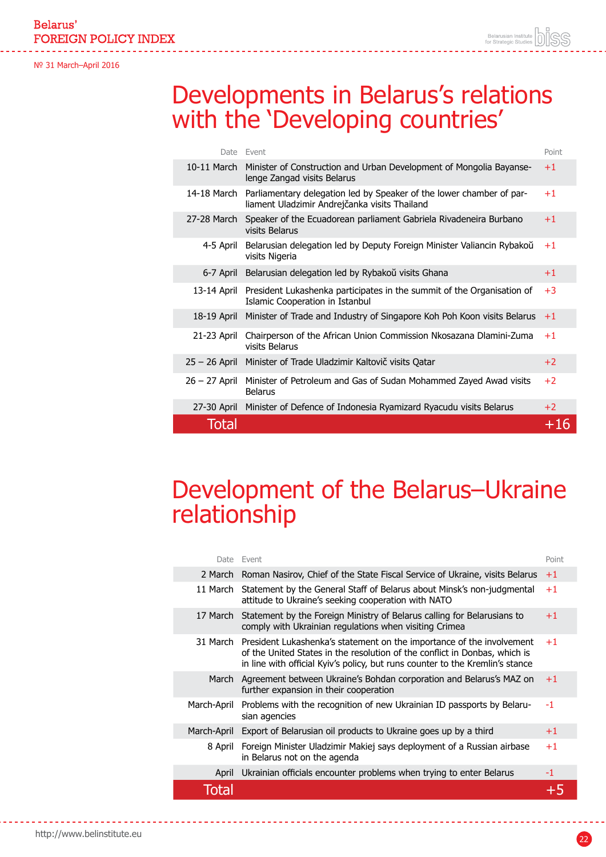Belarus' **FOREIGN POLICY INDEX** 

№ 31 March–April 2016

## Developments in Belarus's relations with the 'Developing countries'

| Date            | Fvent                                                                                                                 | Point |
|-----------------|-----------------------------------------------------------------------------------------------------------------------|-------|
| 10-11 March     | Minister of Construction and Urban Development of Mongolia Bayanse-<br>lenge Zangad visits Belarus                    | $+1$  |
| 14-18 March     | Parliamentary delegation led by Speaker of the lower chamber of par-<br>liament Uladzimir Andrejčanka visits Thailand | $+1$  |
| 27-28 March     | Speaker of the Ecuadorean parliament Gabriela Rivadeneira Burbano<br>visits Belarus                                   | $+1$  |
| 4-5 April       | Belarusian delegation led by Deputy Foreign Minister Valiancin Rybakoŭ<br>visits Nigeria                              | $+1$  |
| 6-7 April       | Belarusian delegation led by Rybakoŭ visits Ghana                                                                     | $+1$  |
| 13-14 April     | President Lukashenka participates in the summit of the Organisation of<br>Islamic Cooperation in Istanbul             | $+3$  |
| 18-19 April     | Minister of Trade and Industry of Singapore Koh Poh Koon visits Belarus                                               | $+1$  |
| 21-23 April     | Chairperson of the African Union Commission Nkosazana Dlamini-Zuma<br>visits Belarus                                  | $+1$  |
| $25 - 26$ April | Minister of Trade Uladzimir Kaltovič visits Qatar                                                                     | $+2$  |
| $26 - 27$ April | Minister of Petroleum and Gas of Sudan Mohammed Zayed Awad visits<br><b>Belarus</b>                                   | $+2$  |
| 27-30 April     | Minister of Defence of Indonesia Ryamizard Ryacudu visits Belarus                                                     | $+2$  |
| Total           |                                                                                                                       | +16   |

## Development of the Belarus–Ukraine relationship

|             | Date Fvent                                                                                                                                                                                                                           | Point |
|-------------|--------------------------------------------------------------------------------------------------------------------------------------------------------------------------------------------------------------------------------------|-------|
|             | 2 March Roman Nasirov, Chief of the State Fiscal Service of Ukraine, visits Belarus                                                                                                                                                  | $+1$  |
| 11 March    | Statement by the General Staff of Belarus about Minsk's non-judgmental<br>attitude to Ukraine's seeking cooperation with NATO                                                                                                        | $+1$  |
| 17 March    | Statement by the Foreign Ministry of Belarus calling for Belarusians to<br>comply with Ukrainian regulations when visiting Crimea                                                                                                    | $+1$  |
| 31 March    | President Lukashenka's statement on the importance of the involvement<br>of the United States in the resolution of the conflict in Donbas, which is<br>in line with official Kyiv's policy, but runs counter to the Kremlin's stance | $+1$  |
| March       | Agreement between Ukraine's Bohdan corporation and Belarus's MAZ on<br>further expansion in their cooperation                                                                                                                        | $+1$  |
| March-April | Problems with the recognition of new Ukrainian ID passports by Belaru-<br>sian agencies                                                                                                                                              | -1    |
| March-April | Export of Belarusian oil products to Ukraine goes up by a third                                                                                                                                                                      | $+1$  |
| 8 April     | Foreign Minister Uladzimir Makiej says deployment of a Russian airbase<br>in Belarus not on the agenda                                                                                                                               | $+1$  |
| April       | Ukrainian officials encounter problems when trying to enter Belarus                                                                                                                                                                  | -1    |
|             |                                                                                                                                                                                                                                      |       |